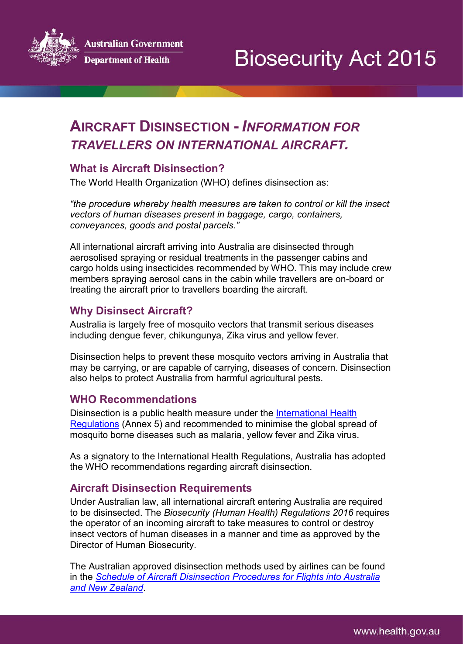ustralian Government



**Department of Health** 

# **AIRCRAFT DISINSECTION -** *INFORMATION FOR TRAVELLERS ON INTERNATIONAL AIRCRAFT.*

### **What is Aircraft Disinsection?**

The World Health Organization (WHO) defines disinsection as:

*"the procedure whereby health measures are taken to control or kill the insect vectors of human diseases present in baggage, cargo, containers, conveyances, goods and postal parcels."*

All international aircraft arriving into Australia are disinsected through aerosolised spraying or residual treatments in the passenger cabins and cargo holds using insecticides recommended by WHO. This may include crew members spraying aerosol cans in the cabin while travellers are on-board or treating the aircraft prior to travellers boarding the aircraft.

## **Why Disinsect Aircraft?**

Australia is largely free of mosquito vectors that transmit serious diseases including dengue fever, chikungunya, Zika virus and yellow fever.

Disinsection helps to prevent these mosquito vectors arriving in Australia that may be carrying, or are capable of carrying, diseases of concern. Disinsection also helps to protect Australia from harmful agricultural pests.

### **WHO Recommendations**

Disinsection is a public health measure under the [International Health](http://www.who.int/topics/international_health_regulations/en/)  [Regulations](http://www.who.int/topics/international_health_regulations/en/) (Annex 5) and recommended to minimise the global spread of mosquito borne diseases such as malaria, yellow fever and Zika virus.

As a signatory to the International Health Regulations, Australia has adopted the WHO recommendations regarding aircraft disinsection.

### **Aircraft Disinsection Requirements**

Under Australian law, all international aircraft entering Australia are required to be disinsected. The *Biosecurity (Human Health) Regulations 2016* requires the operator of an incoming aircraft to take measures to control or destroy insect vectors of human diseases in a manner and time as approved by the Director of Human Biosecurity.

The Australian approved disinsection methods used by airlines can be found in the *Schedule [of Aircraft Disinsection Procedures for Flights into Australia](http://www.agriculture.gov.au/biosecurity/avm/aircraft/disinsection/procedures)  [and New Zealand](http://www.agriculture.gov.au/biosecurity/avm/aircraft/disinsection/procedures)*.